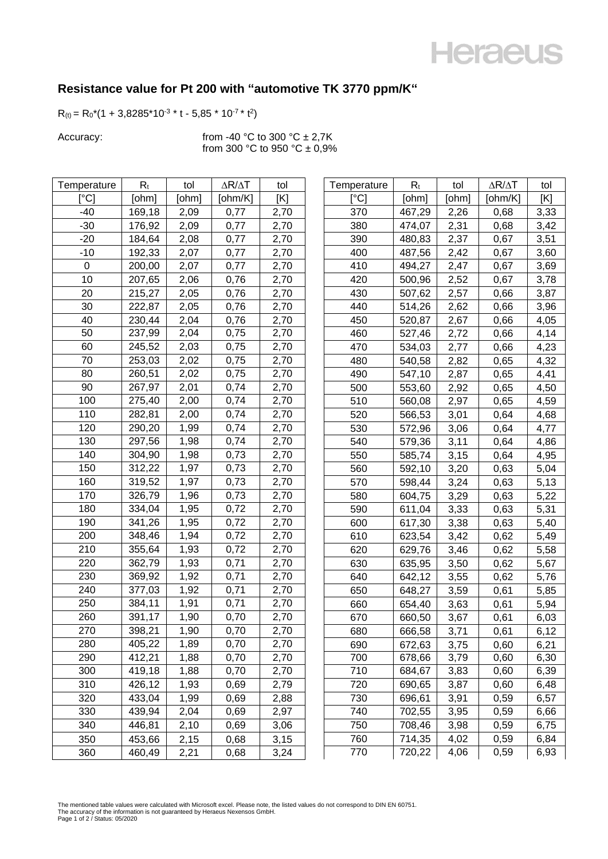## **Heraeus**

## **Resistance value for Pt 200 with "automotive TK 3770 ppm/K"**

 $R(t) = R_0*(1 + 3.8285*10^{-3} * t - 5.85*10^{-7} * t^2)$ 

Accuracy:  $\frac{1}{2}$  from -40 °C to 300 °C  $\pm$  2,7K from 300 °C to 950 °C  $\pm$  0,9%

| Temperature                             | $R_t$  | tol   | $\Delta R/\Delta T$ | tol  | Temperature               | $R_t$  | tol   | $\Delta R/\Delta T$ | tol  |
|-----------------------------------------|--------|-------|---------------------|------|---------------------------|--------|-------|---------------------|------|
| $\mathsf{I}^\circ\mathsf{C} \mathsf{I}$ | [ohm]  | [ohm] | [ohm/K]             | [K]  | $\lceil{^{\circ}C}\rceil$ | [ohm]  | [ohm] | [ohm/K]             | [K]  |
| $-40$                                   | 169,18 | 2,09  | 0,77                | 2,70 | 370                       | 467,29 | 2,26  | 0,68                | 3,33 |
| $-30$                                   | 176,92 | 2,09  | 0,77                | 2,70 | 380                       | 474,07 | 2,31  | 0,68                | 3,42 |
| $-20$                                   | 184,64 | 2,08  | 0,77                | 2,70 | 390                       | 480,83 | 2,37  | 0,67                | 3,51 |
| $-10$                                   | 192,33 | 2,07  | 0,77                | 2,70 | 400                       | 487,56 | 2,42  | 0,67                | 3,60 |
| $\mathbf 0$                             | 200,00 | 2,07  | 0,77                | 2,70 | 410                       | 494,27 | 2,47  | 0,67                | 3,69 |
| 10                                      | 207,65 | 2,06  | 0,76                | 2,70 | 420                       | 500,96 | 2,52  | 0,67                | 3,78 |
| 20                                      | 215,27 | 2,05  | 0,76                | 2,70 | 430                       | 507,62 | 2,57  | 0,66                | 3,87 |
| 30                                      | 222,87 | 2,05  | 0,76                | 2,70 | 440                       | 514,26 | 2,62  | 0,66                | 3,96 |
| 40                                      | 230,44 | 2,04  | 0,76                | 2,70 | 450                       | 520,87 | 2,67  | 0,66                | 4,05 |
| 50                                      | 237,99 | 2,04  | 0,75                | 2,70 | 460                       | 527,46 | 2,72  | 0,66                | 4,14 |
| 60                                      | 245,52 | 2,03  | 0,75                | 2,70 | 470                       | 534,03 | 2,77  | 0,66                | 4,23 |
| 70                                      | 253,03 | 2,02  | 0,75                | 2,70 | 480                       | 540,58 | 2,82  | 0,65                | 4,32 |
| 80                                      | 260,51 | 2,02  | 0,75                | 2,70 | 490                       | 547,10 | 2,87  | 0,65                | 4,41 |
| 90                                      | 267,97 | 2,01  | 0,74                | 2,70 | 500                       | 553,60 | 2,92  | 0,65                | 4,50 |
| 100                                     | 275,40 | 2,00  | 0,74                | 2,70 | 510                       | 560,08 | 2,97  | 0,65                | 4,59 |
| 110                                     | 282,81 | 2,00  | 0,74                | 2,70 | 520                       | 566,53 | 3,01  | 0,64                | 4,68 |
| 120                                     | 290,20 | 1,99  | 0,74                | 2,70 | 530                       | 572,96 | 3,06  | 0,64                | 4,77 |
| 130                                     | 297,56 | 1,98  | 0,74                | 2,70 | 540                       | 579,36 | 3,11  | 0,64                | 4,86 |
| 140                                     | 304,90 | 1,98  | 0,73                | 2,70 | 550                       | 585,74 | 3,15  | 0,64                | 4,95 |
| 150                                     | 312,22 | 1,97  | 0,73                | 2,70 | 560                       | 592,10 | 3,20  | 0,63                | 5,04 |
| 160                                     | 319,52 | 1,97  | 0,73                | 2,70 | 570                       | 598,44 | 3,24  | 0,63                | 5,13 |
| 170                                     | 326,79 | 1,96  | 0,73                | 2,70 | 580                       | 604,75 | 3,29  | 0,63                | 5,22 |
| 180                                     | 334,04 | 1,95  | 0,72                | 2,70 | 590                       | 611,04 | 3,33  | 0,63                | 5,31 |
| 190                                     | 341,26 | 1,95  | 0,72                | 2,70 | 600                       | 617,30 | 3,38  | 0,63                | 5,40 |
| 200                                     | 348,46 | 1,94  | 0,72                | 2,70 | 610                       | 623,54 | 3,42  | 0,62                | 5,49 |
| 210                                     | 355,64 | 1,93  | 0,72                | 2,70 | 620                       | 629,76 | 3,46  | 0,62                | 5,58 |
| 220                                     | 362,79 | 1,93  | 0,71                | 2,70 | 630                       | 635,95 | 3,50  | 0,62                | 5,67 |
| 230                                     | 369,92 | 1,92  | 0,71                | 2,70 | 640                       | 642,12 | 3,55  | 0,62                | 5,76 |
| 240                                     | 377,03 | 1,92  | 0,71                | 2,70 | 650                       | 648,27 | 3,59  | 0,61                | 5,85 |
| 250                                     | 384,11 | 1,91  | 0,71                | 2,70 | 660                       | 654,40 | 3,63  | 0,61                | 5,94 |
| 260                                     | 391,17 | 1,90  | 0,70                | 2,70 | 670                       | 660,50 | 3,67  | 0,61                | 6,03 |
| 270                                     | 398,21 | 1,90  | 0,70                | 2,70 | 680                       | 666,58 | 3,71  | 0,61                | 6,12 |
| 280                                     | 405,22 | 1,89  | 0,70                | 2,70 | 690                       | 672,63 | 3,75  | 0,60                | 6,21 |
| 290                                     | 412,21 | 1,88  | 0,70                | 2,70 | 700                       | 678,66 | 3,79  | 0,60                | 6,30 |
| 300                                     | 419,18 | 1,88  | 0,70                | 2,70 | 710                       | 684,67 | 3,83  | 0,60                | 6,39 |
| 310                                     | 426,12 | 1,93  | 0,69                | 2,79 | 720                       | 690,65 | 3,87  | 0,60                | 6,48 |
| 320                                     | 433,04 | 1,99  | 0,69                | 2,88 | 730                       | 696,61 | 3,91  | 0,59                | 6,57 |
| 330                                     | 439,94 | 2,04  | 0,69                | 2,97 | 740                       | 702,55 | 3,95  | 0,59                | 6,66 |
| 340                                     | 446,81 | 2,10  | 0,69                | 3,06 | 750                       | 708,46 | 3,98  | 0,59                | 6,75 |
| 350                                     | 453,66 | 2,15  | 0,68                | 3,15 | 760                       | 714,35 | 4,02  | 0,59                | 6,84 |
| 360                                     | 460,49 | 2,21  | 0,68                | 3,24 | 770                       | 720,22 | 4,06  | 0,59                | 6,93 |
|                                         |        |       |                     |      |                           |        |       |                     |      |

| Temperature | $R_t$  | tol   | $\Delta R/\Delta T$ | tol  |
|-------------|--------|-------|---------------------|------|
| [°C]        | [ohm]  | [ohm] | [ohm/K]             | [K]  |
| 370         | 467,29 | 2,26  | 0,68                | 3,33 |
| 380         | 474,07 | 2,31  | 0,68                | 3,42 |
| 390         | 480,83 | 2,37  | 0,67                | 3,51 |
| 400         | 487,56 | 2,42  | 0,67                | 3,60 |
| 410         | 494,27 | 2,47  | 0,67                | 3,69 |
| 420         | 500,96 | 2,52  | 0,67                | 3,78 |
| 430         | 507,62 | 2,57  | 0,66                | 3,87 |
| 440         | 514,26 | 2,62  | 0,66                | 3,96 |
| 450         | 520,87 | 2,67  | 0,66                | 4,05 |
| 460         | 527,46 | 2,72  | 0,66                | 4,14 |
| 470         | 534,03 | 2,77  | 0,66                | 4,23 |
| 480         | 540,58 | 2,82  | 0,65                | 4,32 |
| 490         | 547,10 | 2,87  | 0,65                | 4,41 |
| 500         | 553,60 | 2,92  | 0,65                | 4,50 |
| 510         | 560,08 | 2,97  | 0,65                | 4,59 |
| 520         | 566,53 | 3,01  | 0,64                | 4,68 |
| 530         | 572,96 | 3,06  | 0,64                | 4,77 |
| 540         | 579,36 | 3,11  | 0,64                | 4,86 |
| 550         | 585,74 | 3,15  | 0,64                | 4,95 |
| 560         | 592,10 | 3,20  | 0,63                | 5,04 |
| 570         | 598,44 | 3,24  | 0,63                | 5,13 |
| 580         | 604,75 | 3,29  | 0,63                | 5,22 |
| 590         | 611,04 | 3,33  | 0,63                | 5,31 |
| 600         | 617,30 | 3,38  | 0,63                | 5,40 |
| 610         | 623,54 | 3,42  | 0,62                | 5,49 |
| 620         | 629,76 | 3,46  | 0,62                | 5,58 |
| 630         | 635,95 | 3,50  | 0,62                | 5,67 |
| 640         | 642,12 | 3,55  | 0,62                | 5,76 |
| 650         | 648,27 | 3,59  | 0,61                | 5,85 |
| 660         | 654,40 | 3,63  | 0,61                | 5,94 |
| 670         | 660,50 | 3,67  | 0,61                | 6,03 |
| 680         | 666.58 | 3,71  | 0,61                | 6,12 |
| 690         | 672,63 | 3,75  | 0,60                | 6,21 |
| 700         | 678,66 | 3,79  | 0,60                | 6,30 |
| 710         | 684,67 | 3,83  | 0,60                | 6,39 |
| 720         | 690,65 | 3,87  | 0,60                | 6,48 |
| 730         | 696,61 | 3,91  | 0,59                | 6,57 |
| 740         | 702,55 | 3,95  | 0,59                | 6,66 |
| 750         | 708,46 | 3,98  | 0,59                | 6,75 |
| 760         | 714,35 | 4,02  | 0,59                | 6,84 |
| 770         | 720,22 | 4,06  | 0,59                | 6,93 |

The mentioned table values were calculated with Microsoft excel. Please note, the listed values do not correspond to DIN EN 60751.<br>The accuracy of the information is not guaranteed by Heraeus Nexensos GmbH.<br>Page 1 of 2 / S